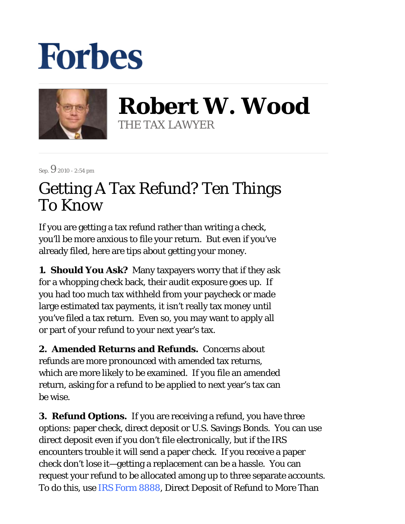## **Forbes**



**Robert W. Wood** THE TAX LAWYER

Sep. 9 2010 - 2:54 pm

## Getting A Tax Refund? Ten Things To Know

If you are getting a tax refund rather than writing a check, you'll be more anxious to file your return. But even if you've already filed, here are tips about getting your money.

**1. Should You Ask?** Many taxpayers worry that if they ask for a whopping check back, their audit exposure goes up. If you had too much tax withheld from your paycheck or made large estimated tax payments, it isn't really tax money until you've filed a tax return. Even so, you may want to apply all or part of your refund to your next year's tax.

**2. Amended Returns and Refunds.** Concerns about refunds are more pronounced with amended tax returns, which are more likely to be examined. If you file an amended return, asking for a refund to be applied to next year's tax can be wise.

**3. Refund Options.** If you are receiving a refund, you have three options: paper check, direct deposit or U.S. Savings Bonds. You can use direct deposit even if you don't file electronically, but if the IRS encounters trouble it will send a paper check. If you receive a paper check don't lose it—getting a replacement can be a hassle. You can request your refund to be allocated among up to three separate accounts. To do this, use IRS Form 8888, Direct Deposit of Refund to More Than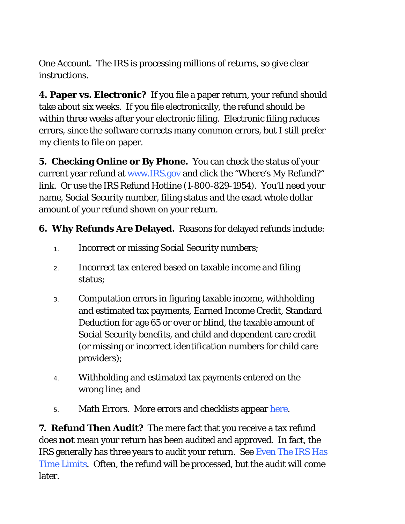One Account. The IRS is processing millions of returns, so give clear instructions.

**4. Paper vs. Electronic?** If you file a paper return, your refund should take about six weeks. If you file electronically, the refund should be within three weeks after your electronic filing. Electronic filing reduces errors, since the software corrects many common errors, but I still prefer my clients to file on paper.

**5. Checking Online or By Phone.** You can check the status of your current year refund at www.IRS.gov and click the "Where's My Refund?" link. Or use the IRS Refund Hotline (1-800-829-1954). You'll need your name, Social Security number, filing status and the exact whole dollar amount of your refund shown on your return.

**6. Why Refunds Are Delayed.** Reasons for delayed refunds include:

- 1. Incorrect or missing Social Security numbers;
- Incorrect tax entered based on taxable income and filing status; 2.
- Computation errors in figuring taxable income, withholding and estimated tax payments, Earned Income Credit, Standard Deduction for age 65 or over or blind, the taxable amount of Social Security benefits, and child and dependent care credit (or missing or incorrect identification numbers for child care providers); 3.
- Withholding and estimated tax payments entered on the wrong line; and 4.
- 5. Math Errors. More errors and checklists appear here.

**7. Refund Then Audit?** The mere fact that you receive a tax refund does *not* mean your return has been audited and approved. In fact, the IRS generally has three years to audit your return. See Even The IRS Has Time Limits. Often, the refund will be processed, but the audit will come later.